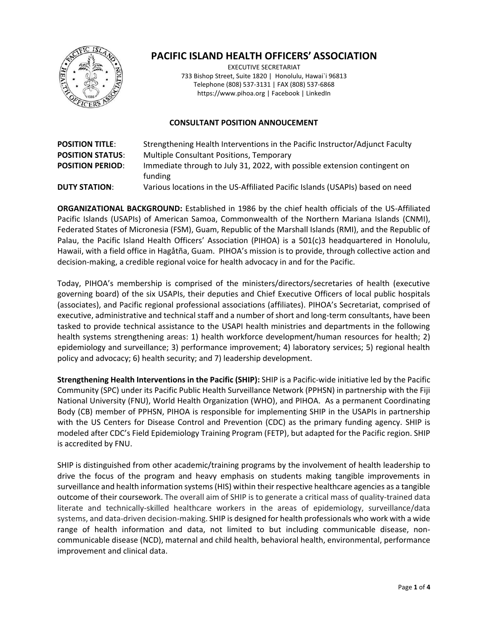

# **PACIFIC ISLAND HEALTH OFFICERS' ASSOCIATION**

EXECUTIVE SECRETARIAT 733 Bishop Street, Suite 1820 | Honolulu, Hawai`i 96813 Telephone (808) 537-3131 | FAX (808) 537-6868 https:/[/www.pihoa.org](http://www.pihoa.org/) | Facebook | LinkedIn

### **CONSULTANT POSITION ANNOUCEMENT**

| <b>POSITION TITLE:</b>  | Strengthening Health Interventions in the Pacific Instructor/Adjunct Faculty  |
|-------------------------|-------------------------------------------------------------------------------|
| <b>POSITION STATUS:</b> | Multiple Consultant Positions, Temporary                                      |
| <b>POSITION PERIOD:</b> | Immediate through to July 31, 2022, with possible extension contingent on     |
|                         | funding                                                                       |
| <b>DUTY STATION:</b>    | Various locations in the US-Affiliated Pacific Islands (USAPIs) based on need |

**ORGANIZATIONAL BACKGROUND:** Established in 1986 by the chief health officials of the US-Affiliated Pacific Islands (USAPIs) of American Samoa, Commonwealth of the Northern Mariana Islands (CNMI), Federated States of Micronesia (FSM), Guam, Republic of the Marshall Islands (RMI), and the Republic of Palau, the Pacific Island Health Officers' Association (PIHOA) is a 501(c)3 headquartered in Honolulu, Hawaii, with a field office in Hagåtña, Guam. PIHOA's mission is to provide, through collective action and decision-making, a credible regional voice for health advocacy in and for the Pacific.

Today, PIHOA's membership is comprised of the ministers/directors/secretaries of health (executive governing board) of the six USAPIs, their deputies and Chief Executive Officers of local public hospitals (associates), and Pacific regional professional associations (affiliates). PIHOA's Secretariat, comprised of executive, administrative and technical staff and a number of short and long-term consultants, have been tasked to provide technical assistance to the USAPI health ministries and departments in the following health systems strengthening areas: 1) health workforce development/human resources for health; 2) epidemiology and surveillance; 3) performance improvement; 4) laboratory services; 5) regional health policy and advocacy; 6) health security; and 7) leadership development.

**Strengthening Health Interventions in the Pacific (SHIP):** SHIP is a Pacific-wide initiative led by the Pacific Community (SPC) under its Pacific Public Health Surveillance Network (PPHSN) in partnership with the Fiji National University (FNU), World Health Organization (WHO), and PIHOA. As a permanent Coordinating Body (CB) member of PPHSN, PIHOA is responsible for implementing SHIP in the USAPIs in partnership with the US Centers for Disease Control and Prevention (CDC) as the primary funding agency. SHIP is modeled after CDC's Field Epidemiology Training Program (FETP), but adapted for the Pacific region. SHIP is accredited by FNU.

SHIP is distinguished from other academic/training programs by the involvement of health leadership to drive the focus of the program and heavy emphasis on students making tangible improvements in surveillance and health information systems (HIS) within their respective healthcare agencies as a tangible outcome of their coursework. The overall aim of SHIP is to generate a critical mass of quality-trained data literate and technically-skilled healthcare workers in the areas of epidemiology, surveillance/data systems, and data-driven decision-making. SHIP is designed for health professionals who work with a wide range of health information and data, not limited to but including communicable disease, noncommunicable disease (NCD), maternal and child health, behavioral health, environmental, performance improvement and clinical data.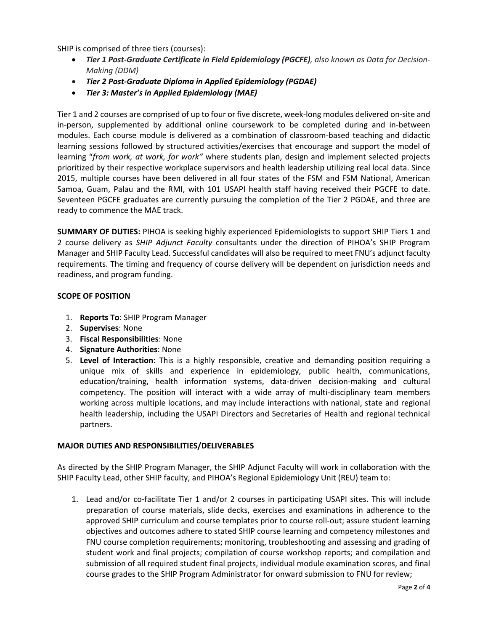SHIP is comprised of three tiers (courses):

- *Tier 1 Post-Graduate Certificate in Field Epidemiology (PGCFE), also known as Data for Decision-Making (DDM)*
- *Tier 2 Post-Graduate Diploma in Applied Epidemiology (PGDAE)*
- *Tier 3: Master's in Applied Epidemiology (MAE)*

Tier 1 and 2 courses are comprised of up to four or five discrete, week-long modules delivered on-site and in-person, supplemented by additional online coursework to be completed during and in-between modules. Each course module is delivered as a combination of classroom-based teaching and didactic learning sessions followed by structured activities/exercises that encourage and support the model of learning "*from work, at work, for work"* where students plan, design and implement selected projects prioritized by their respective workplace supervisors and health leadership utilizing real local data. Since 2015, multiple courses have been delivered in all four states of the FSM and FSM National, American Samoa, Guam, Palau and the RMI, with 101 USAPI health staff having received their PGCFE to date. Seventeen PGCFE graduates are currently pursuing the completion of the Tier 2 PGDAE, and three are ready to commence the MAE track.

**SUMMARY OF DUTIES:** PIHOA is seeking highly experienced Epidemiologists to support SHIP Tiers 1 and 2 course delivery as *SHIP Adjunct Faculty* consultants under the direction of PIHOA's SHIP Program Manager and SHIP Faculty Lead. Successful candidates will also be required to meet FNU's adjunct faculty requirements. The timing and frequency of course delivery will be dependent on jurisdiction needs and readiness, and program funding.

#### **SCOPE OF POSITION**

- 1. **Reports To**: SHIP Program Manager
- 2. **Supervises**: None
- 3. **Fiscal Responsibilities**: None
- 4. **Signature Authorities**: None
- 5. **Level of Interaction**: This is a highly responsible, creative and demanding position requiring a unique mix of skills and experience in epidemiology, public health, communications, education/training, health information systems, data-driven decision-making and cultural competency. The position will interact with a wide array of multi-disciplinary team members working across multiple locations, and may include interactions with national, state and regional health leadership, including the USAPI Directors and Secretaries of Health and regional technical partners.

## **MAJOR DUTIES AND RESPONSIBILITIES/DELIVERABLES**

As directed by the SHIP Program Manager, the SHIP Adjunct Faculty will work in collaboration with the SHIP Faculty Lead, other SHIP faculty, and PIHOA's Regional Epidemiology Unit (REU) team to:

1. Lead and/or co-facilitate Tier 1 and/or 2 courses in participating USAPI sites. This will include preparation of course materials, slide decks, exercises and examinations in adherence to the approved SHIP curriculum and course templates prior to course roll-out; assure student learning objectives and outcomes adhere to stated SHIP course learning and competency milestones and FNU course completion requirements; monitoring, troubleshooting and assessing and grading of student work and final projects; compilation of course workshop reports; and compilation and submission of all required student final projects, individual module examination scores, and final course grades to the SHIP Program Administrator for onward submission to FNU for review;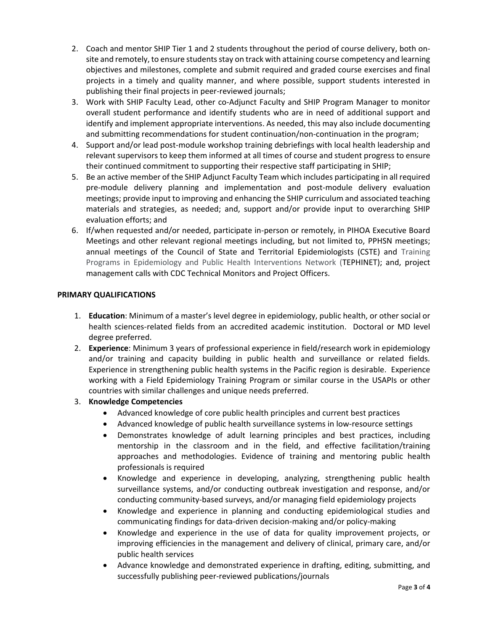- 2. Coach and mentor SHIP Tier 1 and 2 students throughout the period of course delivery, both onsite and remotely, to ensure students stay on track with attaining course competency and learning objectives and milestones, complete and submit required and graded course exercises and final projects in a timely and quality manner, and where possible, support students interested in publishing their final projects in peer-reviewed journals;
- 3. Work with SHIP Faculty Lead, other co-Adjunct Faculty and SHIP Program Manager to monitor overall student performance and identify students who are in need of additional support and identify and implement appropriate interventions. As needed, this may also include documenting and submitting recommendations for student continuation/non-continuation in the program;
- 4. Support and/or lead post-module workshop training debriefings with local health leadership and relevant supervisors to keep them informed at all times of course and student progress to ensure their continued commitment to supporting their respective staff participating in SHIP;
- 5. Be an active member of the SHIP Adjunct Faculty Team which includes participating in all required pre-module delivery planning and implementation and post-module delivery evaluation meetings; provide input to improving and enhancing the SHIP curriculum and associated teaching materials and strategies, as needed; and, support and/or provide input to overarching SHIP evaluation efforts; and
- 6. If/when requested and/or needed, participate in-person or remotely, in PIHOA Executive Board Meetings and other relevant regional meetings including, but not limited to, PPHSN meetings; annual meetings of the Council of State and Territorial Epidemiologists (CSTE) and Training Programs in Epidemiology and Public Health Interventions Network (TEPHINET); and, project management calls with CDC Technical Monitors and Project Officers.

## **PRIMARY QUALIFICATIONS**

- 1. **Education**: Minimum of a master's level degree in epidemiology, public health, or other social or health sciences-related fields from an accredited academic institution. Doctoral or MD level degree preferred.
- 2. **Experience**: Minimum 3 years of professional experience in field/research work in epidemiology and/or training and capacity building in public health and surveillance or related fields. Experience in strengthening public health systems in the Pacific region is desirable. Experience working with a Field Epidemiology Training Program or similar course in the USAPIs or other countries with similar challenges and unique needs preferred.
- 3. **Knowledge Competencies**
	- Advanced knowledge of core public health principles and current best practices
	- Advanced knowledge of public health surveillance systems in low-resource settings
	- Demonstrates knowledge of adult learning principles and best practices, including mentorship in the classroom and in the field, and effective facilitation/training approaches and methodologies. Evidence of training and mentoring public health professionals is required
	- Knowledge and experience in developing, analyzing, strengthening public health surveillance systems, and/or conducting outbreak investigation and response, and/or conducting community-based surveys, and/or managing field epidemiology projects
	- Knowledge and experience in planning and conducting epidemiological studies and communicating findings for data-driven decision-making and/or policy-making
	- Knowledge and experience in the use of data for quality improvement projects, or improving efficiencies in the management and delivery of clinical, primary care, and/or public health services
	- Advance knowledge and demonstrated experience in drafting, editing, submitting, and successfully publishing peer-reviewed publications/journals